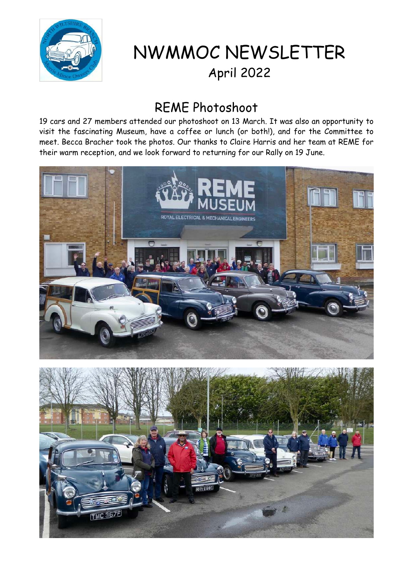

# NWMMOC NEWSLETTER April 2022

### REME Photoshoot

19 cars and 27 members attended our photoshoot on 13 March. It was also an opportunity to visit the fascinating Museum, have a coffee or lunch (or both!), and for the Committee to meet. Becca Bracher took the photos. Our thanks to Claire Harris and her team at REME for their warm reception, and we look forward to returning for our Rally on 19 June.

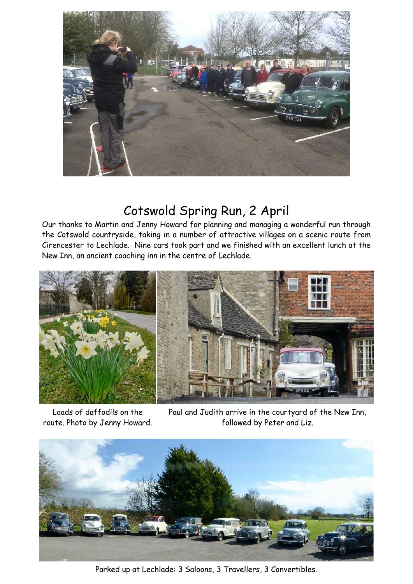

### Cotswold Spring Run, 2 April

Our thanks to Martin and Jenny Howard for planning and managing a wonderful run through the Cotswold countryside, taking in a number of attractive villages on a scenic route from Cirencester to Lechlade. Nine cars took part and we finished with an excellent lunch at the New Inn, an ancient coaching inn in the centre of Lechlade.



Loads of daffodils on the route. Photo by Jenny Howard.

Paul and Judith arrive in the courtyard of the New Inn, followed by Peter and Liz.



Parked up at Lechlade: 3 Saloons, 3 Travellers, 3 Convertibles.